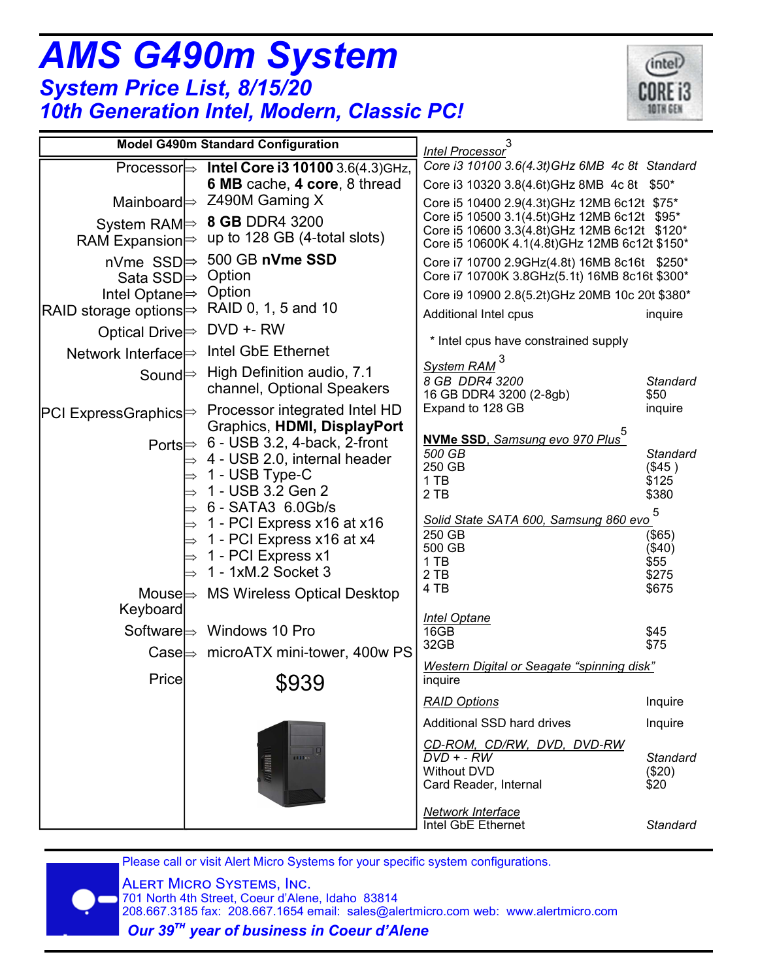| <b>System Price List, 8/15/20</b>                                                           | <b>10th Generation Intel, Modern, Classic PC!</b>                                                                        |                                                                                                                                                                                              |                                             |
|---------------------------------------------------------------------------------------------|--------------------------------------------------------------------------------------------------------------------------|----------------------------------------------------------------------------------------------------------------------------------------------------------------------------------------------|---------------------------------------------|
|                                                                                             | <b>Model G490m Standard Configuration</b>                                                                                | Intel Processor <sup>3</sup>                                                                                                                                                                 |                                             |
|                                                                                             | Processor $\Rightarrow$ Intel Core i3 10100 3.6(4.3)GHz,<br>6 MB cache, 4 core, 8 thread                                 | Core i3 10100 3.6(4.3t) GHz 6MB 4c 8t Standard<br>Core i3 10320 3.8(4.6t)GHz 8MB 4c 8t \$50*                                                                                                 |                                             |
| RAM Expansion $\Rightarrow$                                                                 | Mainboard $\Rightarrow$ Z490M Gaming X<br>System RAM $\Rightarrow$ 8 GB DDR4 3200<br>up to 128 GB (4-total slots)        | Core i5 10400 2.9(4.3t) GHz 12MB 6c12t \$75*<br>Core i5 10500 3.1(4.5t)GHz 12MB 6c12t \$95*<br>Core i5 10600 3.3(4.8t)GHz 12MB 6c12t \$120*<br>Core i5 10600K 4.1(4.8t)GHz 12MB 6c12t \$150* |                                             |
| nVme SSD $\Rightarrow$<br>Sata SSD <b><math>\Rightarrow</math></b><br>Intel Optane <b>→</b> | 500 GB nVme SSD<br>Option<br>Option                                                                                      | Core i7 10700 2.9GHz(4.8t) 16MB 8c16t \$250*<br>Core i7 10700K 3.8GHz(5.1t) 16MB 8c16t \$300*<br>Core i9 10900 2.8(5.2t)GHz 20MB 10c 20t \$380*                                              |                                             |
| RAID storage options $\Rightarrow$<br>Optical Drive $\Rightarrow$                           | RAID 0, 1, 5 and 10<br>DVD +- RW                                                                                         | Additional Intel cpus                                                                                                                                                                        | inquire                                     |
| Network Interface $\Rightarrow$                                                             | Intel GbE Ethernet                                                                                                       | * Intel cpus have constrained supply                                                                                                                                                         |                                             |
| Sound $\Rightarrow$                                                                         | High Definition audio, 7.1<br>channel, Optional Speakers                                                                 | System RAM<br>8 GB DDR4 3200<br>16 GB DDR4 3200 (2-8gb)                                                                                                                                      | <b>Standard</b><br>\$50                     |
| PCI ExpressGraphics ⇒                                                                       | Processor integrated Intel HD<br>Graphics, HDMI, DisplayPort                                                             | Expand to 128 GB                                                                                                                                                                             | inquire                                     |
|                                                                                             | Ports $\Rightarrow$ 6 - USB 3.2, 4-back, 2-front<br>4 - USB 2.0, internal header<br>1 - USB Type-C<br>1 - USB 3.2 Gen 2  | NVMe SSD, Samsung evo 970 Plus <sup>5</sup><br>500 GB<br>250 GB<br>1 TB<br>2 TB                                                                                                              | <b>Standard</b><br>(\$45)<br>\$125<br>\$380 |
|                                                                                             | 6 - SATA3 6.0Gb/s<br>1 - PCI Express x16 at x16<br>1 - PCI Express x16 at x4<br>1 - PCI Express x1<br>1 - 1xM.2 Socket 3 | Solid State SATA 600, Samsung 860 evo<br>250 GB<br>500 GB<br>1 TB<br>2 TB                                                                                                                    | 5<br>$($ \$65)<br>$(\$40)$<br>\$55<br>\$275 |
| Keyboard                                                                                    | Mouse $\Rightarrow$ MS Wireless Optical Desktop                                                                          | 4 TB                                                                                                                                                                                         | \$675                                       |
| $\mathsf{Case} \models$                                                                     | Software $\Rightarrow$ Windows 10 Pro<br>microATX mini-tower, 400w PS                                                    | <b>Intel Optane</b><br>16GB<br>32GB                                                                                                                                                          | \$45<br>\$75                                |
| Price                                                                                       | \$939                                                                                                                    | Western Digital or Seagate "spinning disk"<br>inquire                                                                                                                                        |                                             |
|                                                                                             |                                                                                                                          | <b>RAID Options</b>                                                                                                                                                                          | Inquire                                     |
|                                                                                             |                                                                                                                          | Additional SSD hard drives                                                                                                                                                                   | Inquire                                     |
|                                                                                             | <b>TAN BEEREN INTE</b><br>111100                                                                                         | CD-ROM, CD/RW, DVD, DVD-RW<br>$DVD + - RW$<br><b>Without DVD</b><br>Card Reader, Internal                                                                                                    | <b>Standard</b><br>(\$20)<br>\$20           |
|                                                                                             |                                                                                                                          | Network Interface<br>Intel GbE Ethernet                                                                                                                                                      | <b>Standard</b>                             |

(intel)

Please call or visit Alert Micro Systems for your specific system configurations.



*AMS G490m System*

 701 North 4th Street, Coeur d'Alene, Idaho 83814 208.667.3185 fax: 208.667.1654 email: sales@alertmicro.com web: www.alertmicro.com

 *Our 39%& year of business in Coeur d'Alene*